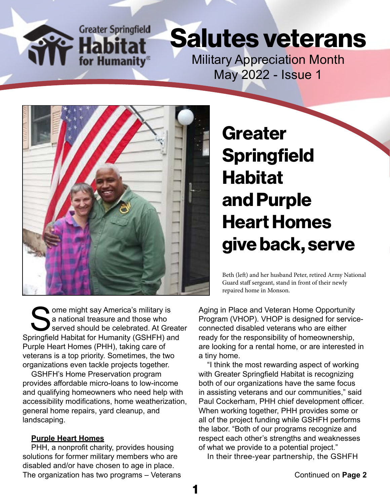**Greater Springfield** for Humanity®

## Salutes veterans

Military Appreciation Month May 2022 - Issue 1



Some might say America's military is<br>a national treasure and those who<br>served should be celebrated. At Gre<br>princfield Habitat for Humanity (GSHFH) and a national treasure and those who served should be celebrated. At Greater Springfield Habitat for Humanity (GSHFH) and Purple Heart Homes (PHH), taking care of veterans is a top priority. Sometimes, the two organizations even tackle projects together.

GSHFH's Home Preservation program provides affordable micro-loans to low-income and qualifying homeowners who need help with accessibility modifications, home weatherization, general home repairs, yard cleanup, and landscaping.

#### **Purple Heart Homes**

PHH, a nonprofit charity, provides housing solutions for former military members who are disabled and/or have chosen to age in place. The organization has two programs – Veterans **Greater Springfield** Habitat and Purple Heart Homes give back, serve

Beth (left) and her husband Peter, retired Army National Guard staff sergeant, stand in front of their newly repaired home in Monson.

Aging in Place and Veteran Home Opportunity Program (VHOP). VHOP is designed for serviceconnected disabled veterans who are either ready for the responsibility of homeownership, are looking for a rental home, or are interested in a tiny home.

"I think the most rewarding aspect of working with Greater Springfield Habitat is recognizing both of our organizations have the same focus in assisting veterans and our communities," said Paul Cockerham, PHH chief development officer. When working together, PHH provides some or all of the project funding while GSHFH performs the labor. "Both of our programs recognize and respect each other's strengths and weaknesses of what we provide to a potential project."

In their three-year partnership, the GSHFH

1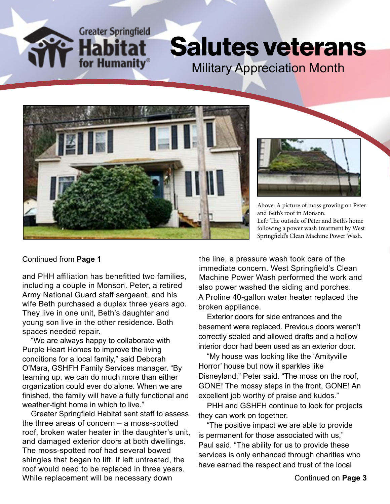**Greater Springfield** for Humanity

### Salutes veterans Military Appreciation Month





Above: A picture of moss growing on Peter and Beth's roof in Monson. Left: The outside of Peter and Beth's home following a power wash treatment by West Springfield's Clean Machine Power Wash.

#### Continued from **Page 1**

and PHH affiliation has benefitted two families, including a couple in Monson. Peter, a retired Army National Guard staff sergeant, and his wife Beth purchased a duplex three years ago. They live in one unit, Beth's daughter and young son live in the other residence. Both spaces needed repair.

"We are always happy to collaborate with Purple Heart Homes to improve the living conditions for a local family," said Deborah O'Mara, GSHFH Family Services manager. "By teaming up, we can do much more than either organization could ever do alone. When we are finished, the family will have a fully functional and weather-tight home in which to live."

Greater Springfield Habitat sent staff to assess the three areas of concern – a moss-spotted roof, broken water heater in the daughter's unit, and damaged exterior doors at both dwellings. The moss-spotted roof had several bowed shingles that began to lift. If left untreated, the roof would need to be replaced in three years. While replacement will be necessary down

the line, a pressure wash took care of the immediate concern. West Springfield's Clean Machine Power Wash performed the work and also power washed the siding and porches. A Proline 40-gallon water heater replaced the broken appliance.

Exterior doors for side entrances and the basement were replaced. Previous doors weren't correctly sealed and allowed drafts and a hollow interior door had been used as an exterior door.

"My house was looking like the 'Amityville Horror' house but now it sparkles like Disneyland," Peter said. "The moss on the roof, GONE! The mossy steps in the front, GONE! An excellent job worthy of praise and kudos."

PHH and GSHFH continue to look for projects they can work on together.

"The positive impact we are able to provide is permanent for those associated with us," Paul said. "The ability for us to provide these services is only enhanced through charities who have earned the respect and trust of the local